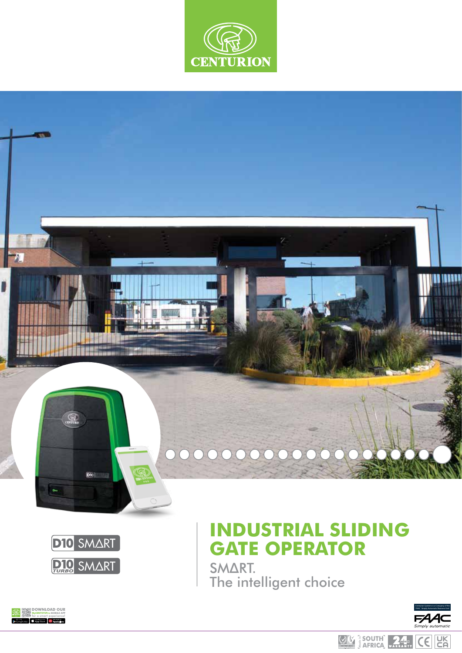





# **INDUSTRIAL SLIDING GATE OPERATOR**

SMΔRT. The intelligent choice





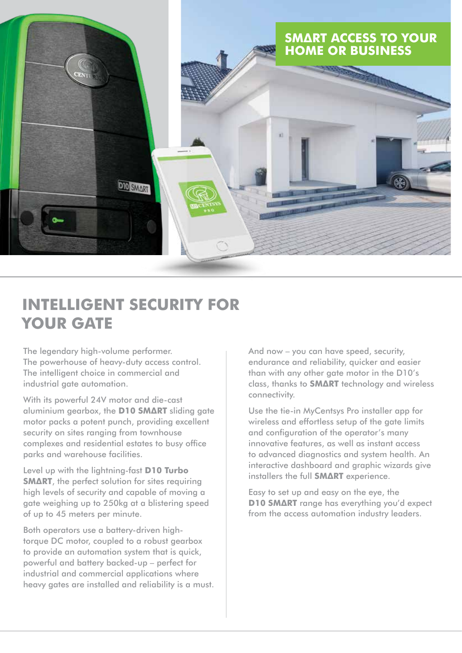

## **INTELLIGENT SECURITY FOR YOUR GATE**

The legendary high-volume performer. The powerhouse of heavy-duty access control. The intelligent choice in commercial and industrial gate automation.

With its powerful 24V motor and die-cast aluminium gearbox, the **D10 SMΔRT** sliding gate motor packs a potent punch, providing excellent security on sites ranging from townhouse complexes and residential estates to busy office parks and warehouse facilities.

Level up with the lightning-fast **D10 Turbo SMΔRT**, the perfect solution for sites requiring high levels of security and capable of moving a gate weighing up to 250kg at a blistering speed of up to 45 meters per minute.

Both operators use a battery-driven hightorque DC motor, coupled to a robust gearbox to provide an automation system that is quick, powerful and battery backed-up – perfect for industrial and commercial applications where heavy gates are installed and reliability is a must. And now – you can have speed, security, endurance and reliability, quicker and easier than with any other gate motor in the D10's class, thanks to **SMΔRT** technology and wireless connectivity.

Use the tie-in MyCentsys Pro installer app for wireless and effortless setup of the gate limits and configuration of the operator's many innovative features, as well as instant access to advanced diagnostics and system health. An interactive dashboard and graphic wizards give installers the full **SMΔRT** experience.

Easy to set up and easy on the eye, the **D10 SMΔRT** range has everything you'd expect from the access automation industry leaders.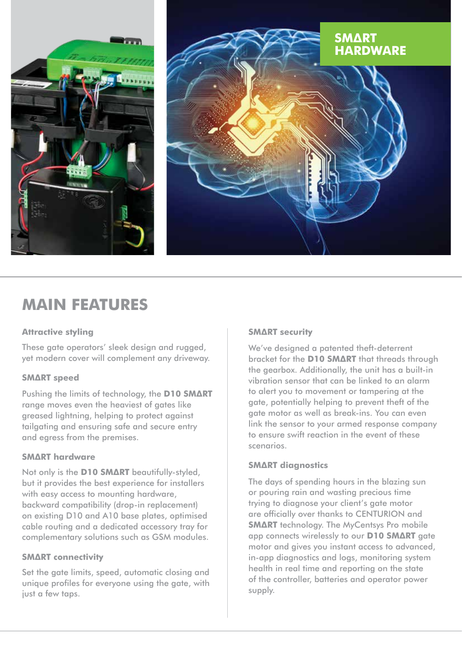



## **MAIN FEATURES**

## **Attractive styling**

These gate operators' sleek design and rugged, yet modern cover will complement any driveway.

## **SMΔRT speed**

Pushing the limits of technology, the **D10 SMΔRT** range moves even the heaviest of gates like greased lightning, helping to protect against tailgating and ensuring safe and secure entry and egress from the premises.

## **SMΔRT hardware**

Not only is the **D10 SMΔRT** beautifully-styled, but it provides the best experience for installers with easy access to mounting hardware, backward compatibility (drop-in replacement) on existing D10 and A10 base plates, optimised cable routing and a dedicated accessory tray for complementary solutions such as GSM modules.

## **SMΔRT connectivity**

Set the gate limits, speed, automatic closing and unique profiles for everyone using the gate, with just a few taps.

## **SMΔRT security**

We've designed a patented theft-deterrent bracket for the **D10 SMΔRT** that threads through the gearbox. Additionally, the unit has a built-in vibration sensor that can be linked to an alarm to alert you to movement or tampering at the gate, potentially helping to prevent theft of the gate motor as well as break-ins. You can even link the sensor to your armed response company to ensure swift reaction in the event of these scenarios.

## **SMΔRT diagnostics**

The days of spending hours in the blazing sun or pouring rain and wasting precious time trying to diagnose your client's gate motor are officially over thanks to CENTURION and **SMΔRT** technology. The MyCentsys Pro mobile app connects wirelessly to our **D10 SMΔRT** gate motor and gives you instant access to advanced, in-app diagnostics and logs, monitoring system health in real time and reporting on the state of the controller, batteries and operator power supply.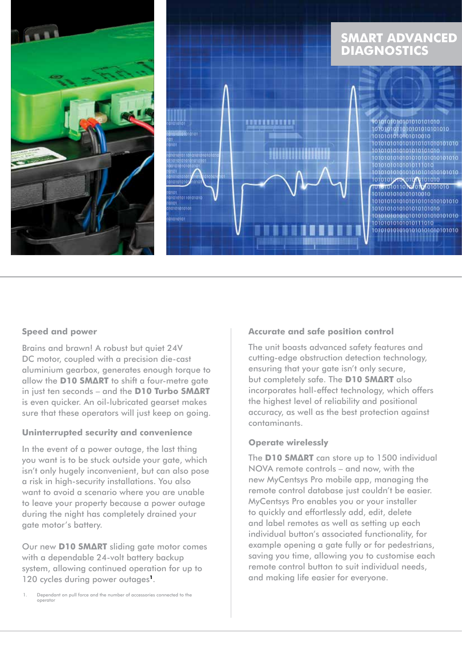

#### **Speed and power**

Brains and brawn! A robust but quiet 24V DC motor, coupled with a precision die-cast aluminium gearbox, generates enough torque to allow the **D10 SMΔRT** to shift a four-metre gate in just ten seconds – and the **D10 Turbo SMΔRT** is even quicker. An oil-lubricated gearset makes sure that these operators will just keep on going.

#### **Uninterrupted security and convenience**

In the event of a power outage, the last thing you want is to be stuck outside your gate, which isn't only hugely inconvenient, but can also pose a risk in high-security installations. You also want to avoid a scenario where you are unable to leave your property because a power outage during the night has completely drained your gate motor's battery.

Our new **D10 SMΔRT** sliding gate motor comes with a dependable 24-volt battery backup system, allowing continued operation for up to 120 cycles during power outages**1**.

#### **Accurate and safe position control**

The unit boasts advanced safety features and cutting-edge obstruction detection technology, ensuring that your gate isn't only secure, but completely safe. The **D10 SMΔRT** also incorporates hall-effect technology, which offers the highest level of reliability and positional accuracy, as well as the best protection against contaminants.

#### **Operate wirelessly**

The **D10 SMΔRT** can store up to 1500 individual NOVA remote controls – and now, with the new MyCentsys Pro mobile app, managing the remote control database just couldn't be easier. MyCentsys Pro enables you or your installer to quickly and effortlessly add, edit, delete and label remotes as well as setting up each individual button's associated functionality, for example opening a gate fully or for pedestrians, saving you time, allowing you to customise each remote control button to suit individual needs, and making life easier for everyone.

Dependant on pull force and the number of accessories connected to the operator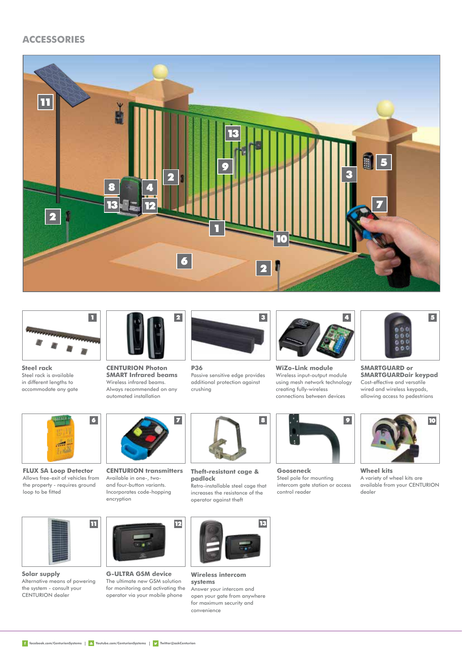## **ACCESSORIES**





**Steel rack** Steel rack is available in different lengths to accommodate any gate



**CENTURION Photon SMART Infrared beams** Wireless infrared beams. Always recommended on any



crushing

automated installation



**CENTURION transmitters** Available in one-, two-



**2** 3

**Theft-resistant cage & padlock**  Retro-installable steel cage that

operator against theft



**WiZo-Link module** Wireless input-output module using mesh network technology creating fully-wireless connections between devices



**Gooseneck** Steel pole for mounting intercom gate station or access control reader



**SMARTGUARD or SMARTGUARDair keypad**  Cost-effective and versatile wired and wireless keypads, allowing access to pedestrians



**Wheel kits** A variety of wheel kits are available from your CENTURION dealer

 $\overline{\mathbf{h}}$ 

**FLUX SA Loop Detector**

6

loop to be fitted

**Solar supply**  Alternative means of powering the system - consult your CENTURION dealer



**G-ULTRA GSM device** The ultimate new GSM solution for monitoring and activating the operator via your mobile phone



**Wireless intercom systems**  Answer your intercom and open your gate from anywhere for maximum security and convenience